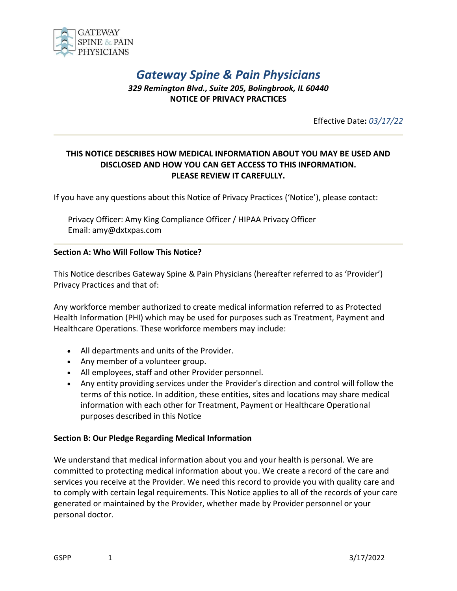

# *Gateway Spine & Pain Physicians*

*329 Remington Blvd., Suite 205, Bolingbrook, IL 60440* **NOTICE OF PRIVACY PRACTICES**

Effective Date**:** *03/17/22*

## **THIS NOTICE DESCRIBES HOW MEDICAL INFORMATION ABOUT YOU MAY BE USED AND DISCLOSED AND HOW YOU CAN GET ACCESS TO THIS INFORMATION. PLEASE REVIEW IT CAREFULLY.**

If you have any questions about this Notice of Privacy Practices ('Notice'), please contact:

Privacy Officer: Amy King Compliance Officer / HIPAA Privacy Officer Email: amy@dxtxpas.com

### **Section A: Who Will Follow This Notice?**

This Notice describes Gateway Spine & Pain Physicians (hereafter referred to as 'Provider') Privacy Practices and that of:

Any workforce member authorized to create medical information referred to as Protected Health Information (PHI) which may be used for purposes such as Treatment, Payment and Healthcare Operations. These workforce members may include:

- All departments and units of the Provider.
- Any member of a volunteer group.
- All employees, staff and other Provider personnel.
- Any entity providing services under the Provider's direction and control will follow the terms of this notice. In addition, these entities, sites and locations may share medical information with each other for Treatment, Payment or Healthcare Operational purposes described in this Notice

#### **Section B: Our Pledge Regarding Medical Information**

We understand that medical information about you and your health is personal. We are committed to protecting medical information about you. We create a record of the care and services you receive at the Provider. We need this record to provide you with quality care and to comply with certain legal requirements. This Notice applies to all of the records of your care generated or maintained by the Provider, whether made by Provider personnel or your personal doctor.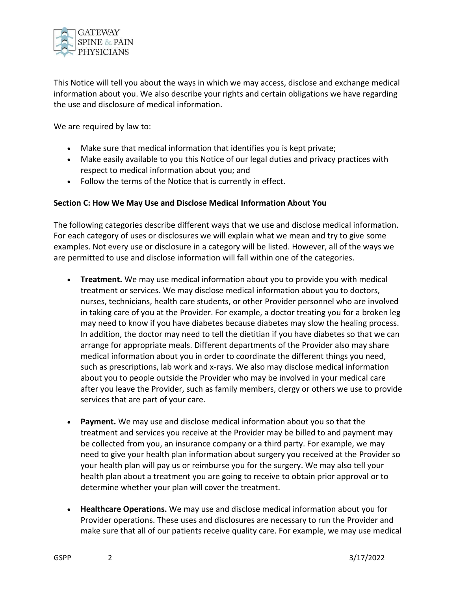

This Notice will tell you about the ways in which we may access, disclose and exchange medical information about you. We also describe your rights and certain obligations we have regarding the use and disclosure of medical information.

We are required by law to:

- Make sure that medical information that identifies you is kept private;
- Make easily available to you this Notice of our legal duties and privacy practices with respect to medical information about you; and
- Follow the terms of the Notice that is currently in effect.

### **Section C: How We May Use and Disclose Medical Information About You**

The following categories describe different ways that we use and disclose medical information. For each category of uses or disclosures we will explain what we mean and try to give some examples. Not every use or disclosure in a category will be listed. However, all of the ways we are permitted to use and disclose information will fall within one of the categories.

- **Treatment.** We may use medical information about you to provide you with medical treatment or services. We may disclose medical information about you to doctors, nurses, technicians, health care students, or other Provider personnel who are involved in taking care of you at the Provider. For example, a doctor treating you for a broken leg may need to know if you have diabetes because diabetes may slow the healing process. In addition, the doctor may need to tell the dietitian if you have diabetes so that we can arrange for appropriate meals. Different departments of the Provider also may share medical information about you in order to coordinate the different things you need, such as prescriptions, lab work and x-rays. We also may disclose medical information about you to people outside the Provider who may be involved in your medical care after you leave the Provider, such as family members, clergy or others we use to provide services that are part of your care.
- **Payment.** We may use and disclose medical information about you so that the treatment and services you receive at the Provider may be billed to and payment may be collected from you, an insurance company or a third party. For example, we may need to give your health plan information about surgery you received at the Provider so your health plan will pay us or reimburse you for the surgery. We may also tell your health plan about a treatment you are going to receive to obtain prior approval or to determine whether your plan will cover the treatment.
- **Healthcare Operations.** We may use and disclose medical information about you for Provider operations. These uses and disclosures are necessary to run the Provider and make sure that all of our patients receive quality care. For example, we may use medical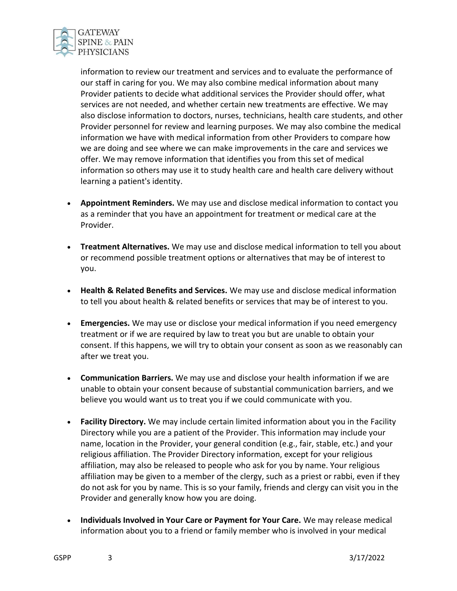

information to review our treatment and services and to evaluate the performance of our staff in caring for you. We may also combine medical information about many Provider patients to decide what additional services the Provider should offer, what services are not needed, and whether certain new treatments are effective. We may also disclose information to doctors, nurses, technicians, health care students, and other Provider personnel for review and learning purposes. We may also combine the medical information we have with medical information from other Providers to compare how we are doing and see where we can make improvements in the care and services we offer. We may remove information that identifies you from this set of medical information so others may use it to study health care and health care delivery without learning a patient's identity.

- **Appointment Reminders.** We may use and disclose medical information to contact you as a reminder that you have an appointment for treatment or medical care at the Provider.
- **Treatment Alternatives.** We may use and disclose medical information to tell you about or recommend possible treatment options or alternatives that may be of interest to you.
- **Health & Related Benefits and Services.** We may use and disclose medical information to tell you about health & related benefits or services that may be of interest to you.
- **Emergencies.** We may use or disclose your medical information if you need emergency treatment or if we are required by law to treat you but are unable to obtain your consent. If this happens, we will try to obtain your consent as soon as we reasonably can after we treat you.
- **Communication Barriers.** We may use and disclose your health information if we are unable to obtain your consent because of substantial communication barriers, and we believe you would want us to treat you if we could communicate with you.
- **Facility Directory.** We may include certain limited information about you in the Facility Directory while you are a patient of the Provider. This information may include your name, location in the Provider, your general condition (e.g., fair, stable, etc.) and your religious affiliation. The Provider Directory information, except for your religious affiliation, may also be released to people who ask for you by name. Your religious affiliation may be given to a member of the clergy, such as a priest or rabbi, even if they do not ask for you by name. This is so your family, friends and clergy can visit you in the Provider and generally know how you are doing.
- **Individuals Involved in Your Care or Payment for Your Care.** We may release medical information about you to a friend or family member who is involved in your medical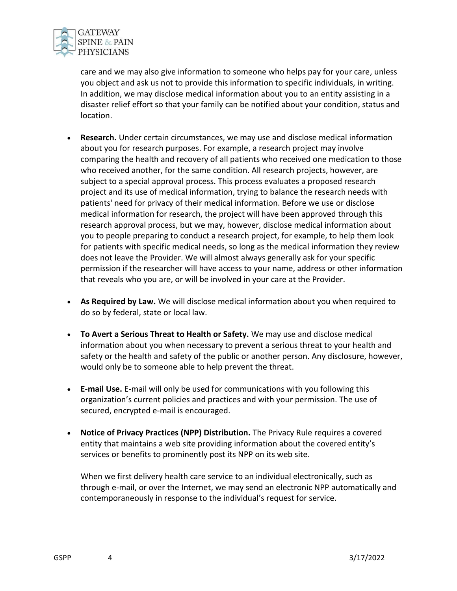

care and we may also give information to someone who helps pay for your care, unless you object and ask us not to provide this information to specific individuals, in writing. In addition, we may disclose medical information about you to an entity assisting in a disaster relief effort so that your family can be notified about your condition, status and location.

- **Research.** Under certain circumstances, we may use and disclose medical information about you for research purposes. For example, a research project may involve comparing the health and recovery of all patients who received one medication to those who received another, for the same condition. All research projects, however, are subject to a special approval process. This process evaluates a proposed research project and its use of medical information, trying to balance the research needs with patients' need for privacy of their medical information. Before we use or disclose medical information for research, the project will have been approved through this research approval process, but we may, however, disclose medical information about you to people preparing to conduct a research project, for example, to help them look for patients with specific medical needs, so long as the medical information they review does not leave the Provider. We will almost always generally ask for your specific permission if the researcher will have access to your name, address or other information that reveals who you are, or will be involved in your care at the Provider.
- **As Required by Law.** We will disclose medical information about you when required to do so by federal, state or local law.
- **To Avert a Serious Threat to Health or Safety.** We may use and disclose medical information about you when necessary to prevent a serious threat to your health and safety or the health and safety of the public or another person. Any disclosure, however, would only be to someone able to help prevent the threat.
- **E-mail Use.** E-mail will only be used for communications with you following this organization's current policies and practices and with your permission. The use of secured, encrypted e-mail is encouraged.
- **Notice of Privacy Practices (NPP) Distribution.** The Privacy Rule requires a covered entity that maintains a web site providing information about the covered entity's services or benefits to prominently post its NPP on its web site.

When we first delivery health care service to an individual electronically, such as through e-mail, or over the Internet, we may send an electronic NPP automatically and contemporaneously in response to the individual's request for service.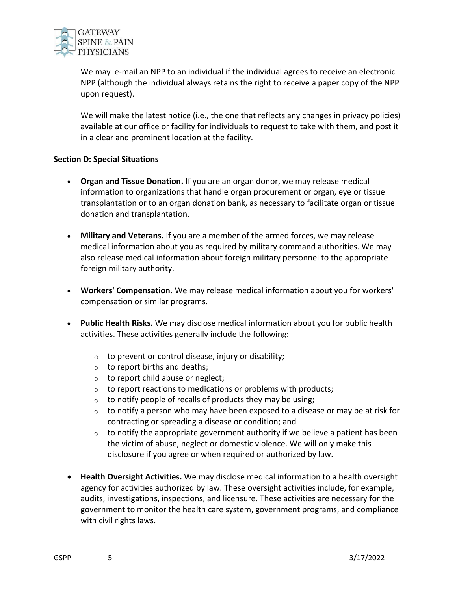

We may e-mail an NPP to an individual if the individual agrees to receive an electronic NPP (although the individual always retains the right to receive a paper copy of the NPP upon request).

We will make the latest notice (i.e., the one that reflects any changes in privacy policies) available at our office or facility for individuals to request to take with them, and post it in a clear and prominent location at the facility.

#### **Section D: Special Situations**

- **Organ and Tissue Donation.** If you are an organ donor, we may release medical information to organizations that handle organ procurement or organ, eye or tissue transplantation or to an organ donation bank, as necessary to facilitate organ or tissue donation and transplantation.
- **Military and Veterans.** If you are a member of the armed forces, we may release medical information about you as required by military command authorities. We may also release medical information about foreign military personnel to the appropriate foreign military authority.
- **Workers' Compensation.** We may release medical information about you for workers' compensation or similar programs.
- **Public Health Risks.** We may disclose medical information about you for public health activities. These activities generally include the following:
	- $\circ$  to prevent or control disease, injury or disability;
	- $\circ$  to report births and deaths;
	- o to report child abuse or neglect;
	- $\circ$  to report reactions to medications or problems with products;
	- $\circ$  to notify people of recalls of products they may be using;
	- $\circ$  to notify a person who may have been exposed to a disease or may be at risk for contracting or spreading a disease or condition; and
	- $\circ$  to notify the appropriate government authority if we believe a patient has been the victim of abuse, neglect or domestic violence. We will only make this disclosure if you agree or when required or authorized by law.
- **Health Oversight Activities.** We may disclose medical information to a health oversight agency for activities authorized by law. These oversight activities include, for example, audits, investigations, inspections, and licensure. These activities are necessary for the government to monitor the health care system, government programs, and compliance with civil rights laws.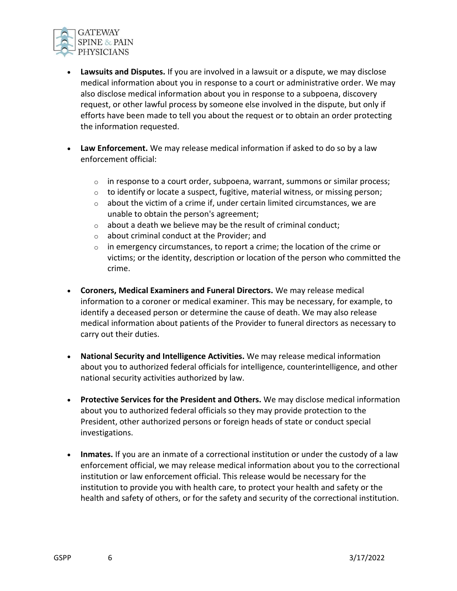

- **Lawsuits and Disputes.** If you are involved in a lawsuit or a dispute, we may disclose medical information about you in response to a court or administrative order. We may also disclose medical information about you in response to a subpoena, discovery request, or other lawful process by someone else involved in the dispute, but only if efforts have been made to tell you about the request or to obtain an order protecting the information requested.
- **Law Enforcement.** We may release medical information if asked to do so by a law enforcement official:
	- $\circ$  in response to a court order, subpoena, warrant, summons or similar process;
	- $\circ$  to identify or locate a suspect, fugitive, material witness, or missing person;
	- $\circ$  about the victim of a crime if, under certain limited circumstances, we are unable to obtain the person's agreement;
	- $\circ$  about a death we believe may be the result of criminal conduct;
	- o about criminal conduct at the Provider; and
	- $\circ$  in emergency circumstances, to report a crime; the location of the crime or victims; or the identity, description or location of the person who committed the crime.
- **Coroners, Medical Examiners and Funeral Directors.** We may release medical information to a coroner or medical examiner. This may be necessary, for example, to identify a deceased person or determine the cause of death. We may also release medical information about patients of the Provider to funeral directors as necessary to carry out their duties.
- **National Security and Intelligence Activities.** We may release medical information about you to authorized federal officials for intelligence, counterintelligence, and other national security activities authorized by law.
- **Protective Services for the President and Others.** We may disclose medical information about you to authorized federal officials so they may provide protection to the President, other authorized persons or foreign heads of state or conduct special investigations.
- **Inmates.** If you are an inmate of a correctional institution or under the custody of a law enforcement official, we may release medical information about you to the correctional institution or law enforcement official. This release would be necessary for the institution to provide you with health care, to protect your health and safety or the health and safety of others, or for the safety and security of the correctional institution.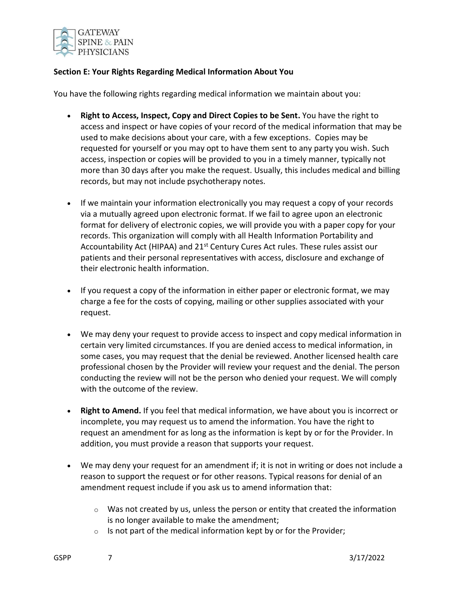

### **Section E: Your Rights Regarding Medical Information About You**

You have the following rights regarding medical information we maintain about you:

- **Right to Access, Inspect, Copy and Direct Copies to be Sent.** You have the right to access and inspect or have copies of your record of the medical information that may be used to make decisions about your care, with a few exceptions. Copies may be requested for yourself or you may opt to have them sent to any party you wish. Such access, inspection or copies will be provided to you in a timely manner, typically not more than 30 days after you make the request. Usually, this includes medical and billing records, but may not include psychotherapy notes.
- If we maintain your information electronically you may request a copy of your records via a mutually agreed upon electronic format. If we fail to agree upon an electronic format for delivery of electronic copies, we will provide you with a paper copy for your records. This organization will comply with all Health Information Portability and Accountability Act (HIPAA) and 21<sup>st</sup> Century Cures Act rules. These rules assist our patients and their personal representatives with access, disclosure and exchange of their electronic health information.
- If you request a copy of the information in either paper or electronic format, we may charge a fee for the costs of copying, mailing or other supplies associated with your request.
- We may deny your request to provide access to inspect and copy medical information in certain very limited circumstances. If you are denied access to medical information, in some cases, you may request that the denial be reviewed. Another licensed health care professional chosen by the Provider will review your request and the denial. The person conducting the review will not be the person who denied your request. We will comply with the outcome of the review.
- **Right to Amend.** If you feel that medical information, we have about you is incorrect or incomplete, you may request us to amend the information. You have the right to request an amendment for as long as the information is kept by or for the Provider. In addition, you must provide a reason that supports your request.
- We may deny your request for an amendment if; it is not in writing or does not include a reason to support the request or for other reasons. Typical reasons for denial of an amendment request include if you ask us to amend information that:
	- $\circ$  Was not created by us, unless the person or entity that created the information is no longer available to make the amendment;
	- $\circ$  Is not part of the medical information kept by or for the Provider;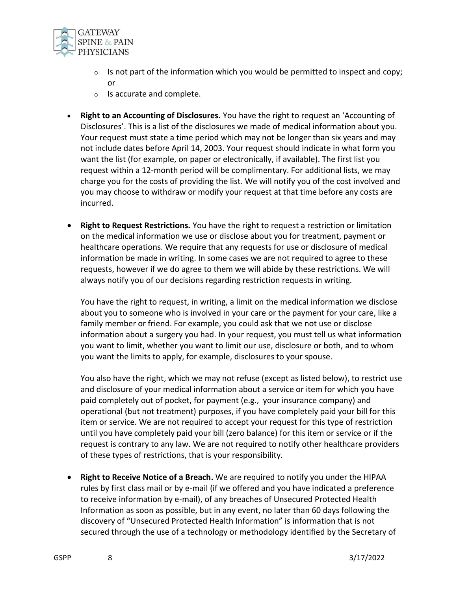

- $\circ$  Is not part of the information which you would be permitted to inspect and copy; or
- o Is accurate and complete.
- **Right to an Accounting of Disclosures.** You have the right to request an 'Accounting of Disclosures'. This is a list of the disclosures we made of medical information about you. Your request must state a time period which may not be longer than six years and may not include dates before April 14, 2003. Your request should indicate in what form you want the list (for example, on paper or electronically, if available). The first list you request within a 12-month period will be complimentary. For additional lists, we may charge you for the costs of providing the list. We will notify you of the cost involved and you may choose to withdraw or modify your request at that time before any costs are incurred.
- **Right to Request Restrictions.** You have the right to request a restriction or limitation on the medical information we use or disclose about you for treatment, payment or healthcare operations. We require that any requests for use or disclosure of medical information be made in writing. In some cases we are not required to agree to these requests, however if we do agree to them we will abide by these restrictions. We will always notify you of our decisions regarding restriction requests in writing.

You have the right to request, in writing, a limit on the medical information we disclose about you to someone who is involved in your care or the payment for your care, like a family member or friend. For example, you could ask that we not use or disclose information about a surgery you had. In your request, you must tell us what information you want to limit, whether you want to limit our use, disclosure or both, and to whom you want the limits to apply, for example, disclosures to your spouse.

You also have the right, which we may not refuse (except as listed below), to restrict use and disclosure of your medical information about a service or item for which you have paid completely out of pocket, for payment (e.g., your insurance company) and operational (but not treatment) purposes, if you have completely paid your bill for this item or service. We are not required to accept your request for this type of restriction until you have completely paid your bill (zero balance) for this item or service or if the request is contrary to any law. We are not required to notify other healthcare providers of these types of restrictions, that is your responsibility.

• **Right to Receive Notice of a Breach.** We are required to notify you under the HIPAA rules by first class mail or by e-mail (if we offered and you have indicated a preference to receive information by e-mail), of any breaches of Unsecured Protected Health Information as soon as possible, but in any event, no later than 60 days following the discovery of "Unsecured Protected Health Information" is information that is not secured through the use of a technology or methodology identified by the Secretary of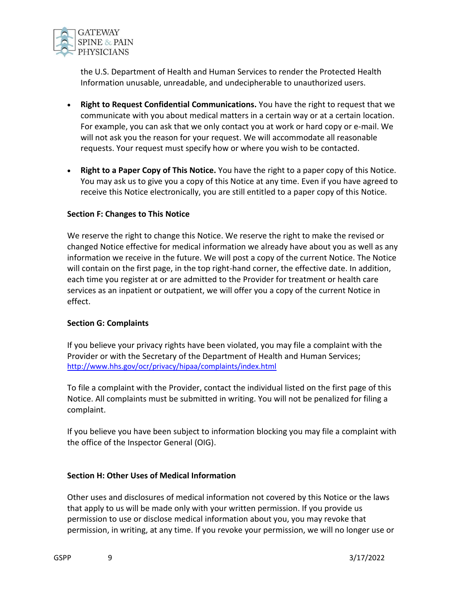

the U.S. Department of Health and Human Services to render the Protected Health Information unusable, unreadable, and undecipherable to unauthorized users.

- **Right to Request Confidential Communications.** You have the right to request that we communicate with you about medical matters in a certain way or at a certain location. For example, you can ask that we only contact you at work or hard copy or e-mail. We will not ask you the reason for your request. We will accommodate all reasonable requests. Your request must specify how or where you wish to be contacted.
- **Right to a Paper Copy of This Notice.** You have the right to a paper copy of this Notice. You may ask us to give you a copy of this Notice at any time. Even if you have agreed to receive this Notice electronically, you are still entitled to a paper copy of this Notice.

#### **Section F: Changes to This Notice**

We reserve the right to change this Notice. We reserve the right to make the revised or changed Notice effective for medical information we already have about you as well as any information we receive in the future. We will post a copy of the current Notice. The Notice will contain on the first page, in the top right-hand corner, the effective date. In addition, each time you register at or are admitted to the Provider for treatment or health care services as an inpatient or outpatient, we will offer you a copy of the current Notice in effect.

#### **Section G: Complaints**

If you believe your privacy rights have been violated, you may file a complaint with the Provider or with the Secretary of the Department of Health and Human Services; <http://www.hhs.gov/ocr/privacy/hipaa/complaints/index.html>

To file a complaint with the Provider, contact the individual listed on the first page of this Notice. All complaints must be submitted in writing. You will not be penalized for filing a complaint.

If you believe you have been subject to information blocking you may file a complaint with the office of the Inspector General (OIG).

#### **Section H: Other Uses of Medical Information**

Other uses and disclosures of medical information not covered by this Notice or the laws that apply to us will be made only with your written permission. If you provide us permission to use or disclose medical information about you, you may revoke that permission, in writing, at any time. If you revoke your permission, we will no longer use or